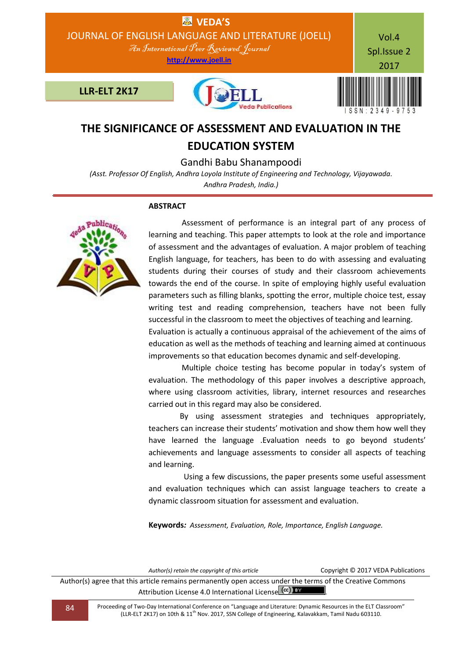

# **THE SIGNIFICANCE OF ASSESSMENT AND EVALUATION IN THE EDUCATION SYSTEM**

## Gandhi Babu Shanampoodi

*(Asst. Professor Of English, Andhra Loyola Institute of Engineering and Technology, Vijayawada. Andhra Pradesh, India.)*

#### **ABSTRACT**



 Assessment of performance is an integral part of any process of learning and teaching. This paper attempts to look at the role and importance of assessment and the advantages of evaluation. A major problem of teaching English language, for teachers, has been to do with assessing and evaluating students during their courses of study and their classroom achievements towards the end of the course. In spite of employing highly useful evaluation parameters such as filling blanks, spotting the error, multiple choice test, essay writing test and reading comprehension, teachers have not been fully successful in the classroom to meet the objectives of teaching and learning. Evaluation is actually a continuous appraisal of the achievement of the aims of education as well as the methods of teaching and learning aimed at continuous

 Multiple choice testing has become popular in today's system of evaluation. The methodology of this paper involves a descriptive approach, where using classroom activities, library, internet resources and researches carried out in this regard may also be considered.

improvements so that education becomes dynamic and self-developing.

 By using assessment strategies and techniques appropriately, teachers can increase their students' motivation and show them how well they have learned the language .Evaluation needs to go beyond students' achievements and language assessments to consider all aspects of teaching and learning.

 Using a few discussions, the paper presents some useful assessment and evaluation techniques which can assist language teachers to create a dynamic classroom situation for assessment and evaluation.

**Keywords***: Assessment, Evaluation, Role, Importance, English Language.*

| Author(s) retain the copyright of this article                                                            | Copyright © 2017 VEDA Publications |
|-----------------------------------------------------------------------------------------------------------|------------------------------------|
| Author(s) agree that this article remains permanently open access under the terms of the Creative Commons |                                    |
| Attribution License 4.0 International License (cc) Ex                                                     |                                    |

84 Proceeding of Two-Day International Conference on "Language and Literature: Dynamic Resources in the ELT Classroom" (LLR-ELT 2K17) on 10th & 11th Nov. 2017, SSN College of Engineering, Kalavakkam, Tamil Nadu 603110.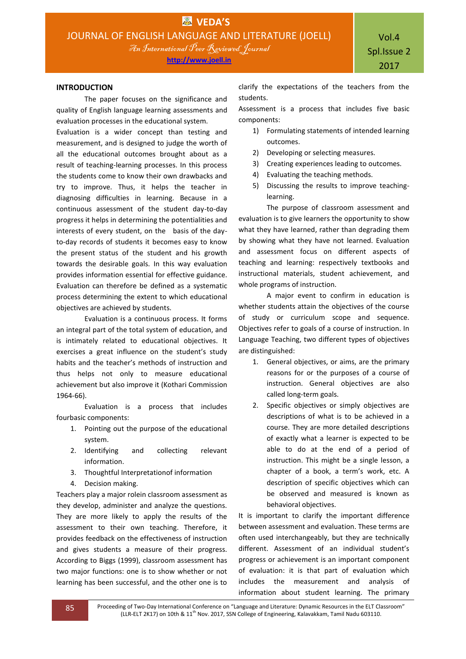#### **INTRODUCTION**

The paper focuses on the significance and quality of English language learning assessments and evaluation processes in the educational system.

Evaluation is a wider concept than testing and measurement, and is designed to judge the worth of all the educational outcomes brought about as a result of teaching-learning processes. In this process the students come to know their own drawbacks and try to improve. Thus, it helps the teacher in diagnosing difficulties in learning. Because in a continuous assessment of the student day-to-day progress it helps in determining the potentialities and interests of every student, on the basis of the dayto-day records of students it becomes easy to know the present status of the student and his growth towards the desirable goals. In this way evaluation provides information essential for effective guidance. Evaluation can therefore be defined as a systematic process determining the extent to which educational objectives are achieved by students.

Evaluation is a continuous process. It forms an integral part of the total system of education, and is intimately related to educational objectives. It exercises a great influence on the student's study habits and the teacher's methods of instruction and thus helps not only to measure educational achievement but also improve it (Kothari Commission 1964-66).

Evaluation is a process that includes fourbasic components:

- 1. Pointing out the purpose of the educational system.
- 2. Identifying and collecting relevant information.
- 3. Thoughtful Interpretationof information
- 4. Decision making.

Teachers play a major rolein classroom assessment as they develop, administer and analyze the questions. They are more likely to apply the results of the assessment to their own teaching. Therefore, it provides feedback on the effectiveness of instruction and gives students a measure of their progress. According to Biggs (1999), classroom assessment has two major functions: one is to show whether or not learning has been successful, and the other one is to

clarify the expectations of the teachers from the students.

Assessment is a process that includes five basic components:

- 1) Formulating statements of intended learning outcomes.
- 2) Developing or selecting measures.
- 3) Creating experiences leading to outcomes.
- 4) Evaluating the teaching methods.
- 5) Discussing the results to improve teachinglearning.

The purpose of classroom assessment and evaluation is to give learners the opportunity to show what they have learned, rather than degrading them by showing what they have not learned. Evaluation and assessment focus on different aspects of teaching and learning: respectively textbooks and instructional materials, student achievement, and whole programs of instruction.

A major event to confirm in education is whether students attain the objectives of the course of study or curriculum scope and sequence. Objectives refer to goals of a course of instruction. In Language Teaching, two different types of objectives are distinguished:

- 1. General objectives, or aims, are the primary reasons for or the purposes of a course of instruction. General objectives are also called long-term goals.
- 2. Specific objectives or simply objectives are descriptions of what is to be achieved in a course. They are more detailed descriptions of exactly what a learner is expected to be able to do at the end of a period of instruction. This might be a single lesson, a chapter of a book, a term's work, etc. A description of specific objectives which can be observed and measured is known as behavioral objectives.

It is important to clarify the important difference between assessment and evaluation. These terms are often used interchangeably, but they are technically different. Assessment of an individual student's progress or achievement is an important component of evaluation: it is that part of evaluation which includes the measurement and analysis of information about student learning. The primary

85 Proceeding of Two-Day International Conference on "Language and Literature: Dynamic Resources in the ELT Classroom" (LLR-ELT 2K17) on 10th & 11<sup>th</sup> Nov. 2017, SSN College of Engineering, Kalavakkam, Tamil Nadu 603110.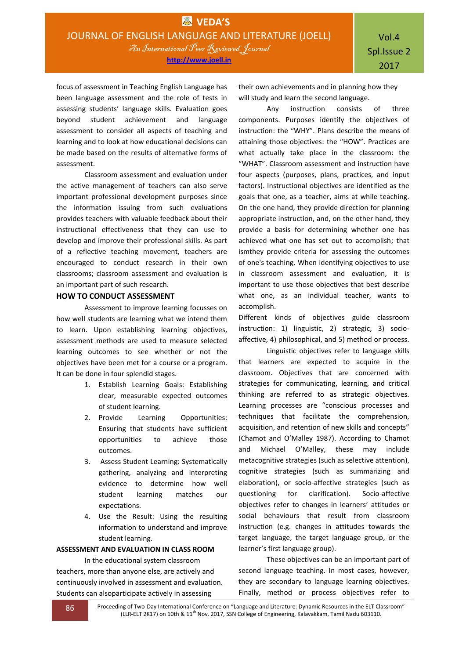focus of assessment in Teaching English Language has been language assessment and the role of tests in assessing students' language skills. Evaluation goes beyond student achievement and language assessment to consider all aspects of teaching and learning and to look at how educational decisions can be made based on the results of alternative forms of assessment.

Classroom assessment and evaluation under the active management of teachers can also serve important professional development purposes since the information issuing from such evaluations provides teachers with valuable feedback about their instructional effectiveness that they can use to develop and improve their professional skills. As part of a reflective teaching movement, teachers are encouraged to conduct research in their own classrooms; classroom assessment and evaluation is an important part of such research.

#### **HOW TO CONDUCT ASSESSMENT**

Assessment to improve learning focusses on how well students are learning what we intend them to learn. Upon establishing learning objectives, assessment methods are used to measure selected learning outcomes to see whether or not the objectives have been met for a course or a program. It can be done in four splendid stages.

- 1. Establish Learning Goals: Establishing clear, measurable expected outcomes of student learning.
- 2. Provide Learning Opportunities: Ensuring that students have sufficient opportunities to achieve those outcomes.
- 3. Assess Student Learning: Systematically gathering, analyzing and interpreting evidence to determine how well student learning matches our expectations.
- 4. Use the Result: Using the resulting information to understand and improve student learning.

#### **ASSESSMENT AND EVALUATION IN CLASS ROOM**

In the educational system classroom teachers, more than anyone else, are actively and continuously involved in assessment and evaluation. Students can alsoparticipate actively in assessing

their own achievements and in planning how they will study and learn the second language.

Any instruction consists of three components. Purposes identify the objectives of instruction: the "WHY". Plans describe the means of attaining those objectives: the "HOW". Practices are what actually take place in the classroom: the "WHAT". Classroom assessment and instruction have four aspects (purposes, plans, practices, and input factors). Instructional objectives are identified as the goals that one, as a teacher, aims at while teaching. On the one hand, they provide direction for planning appropriate instruction, and, on the other hand, they provide a basis for determining whether one has achieved what one has set out to accomplish; that ismthey provide criteria for assessing the outcomes of one's teaching. When identifying objectives to use in classroom assessment and evaluation, it is important to use those objectives that best describe what one, as an individual teacher, wants to accomplish.

Different kinds of objectives guide classroom instruction: 1) linguistic, 2) strategic, 3) socioaffective, 4) philosophical, and 5) method or process.

Linguistic objectives refer to language skills that learners are expected to acquire in the classroom. Objectives that are concerned with strategies for communicating, learning, and critical thinking are referred to as strategic objectives. Learning processes are "conscious processes and techniques that facilitate the comprehension, acquisition, and retention of new skills and concepts" (Chamot and O'Malley 1987). According to Chamot and Michael O'Malley, these may include metacognitive strategies (such as selective attention), cognitive strategies (such as summarizing and elaboration), or socio-affective strategies (such as questioning for clarification). Socio-affective objectives refer to changes in learners' attitudes or social behaviours that result from classroom instruction (e.g. changes in attitudes towards the target language, the target language group, or the learner's first language group).

These objectives can be an important part of second language teaching. In most cases, however, they are secondary to language learning objectives. Finally, method or process objectives refer to

86 Proceeding of Two-Day International Conference on "Language and Literature: Dynamic Resources in the ELT Classroom" (LLR-ELT 2K17) on 10th & 11th Nov. 2017, SSN College of Engineering, Kalavakkam, Tamil Nadu 603110.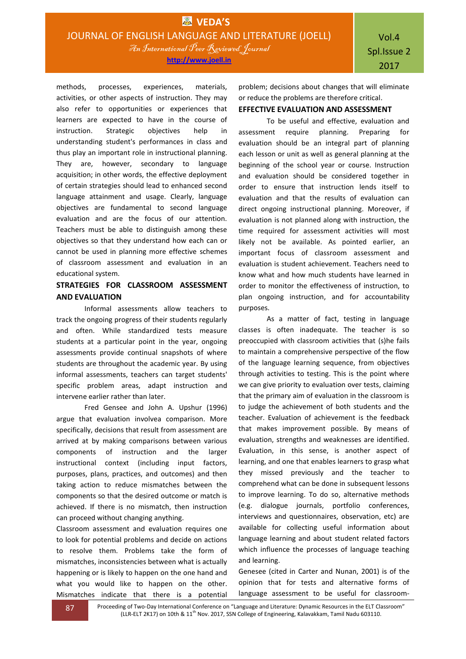methods, processes, experiences, materials, activities, or other aspects of instruction. They may also refer to opportunities or experiences that learners are expected to have in the course of instruction. Strategic objectives help in understanding student's performances in class and thus play an important role in instructional planning. They are, however, secondary to language acquisition; in other words, the effective deployment of certain strategies should lead to enhanced second language attainment and usage. Clearly, language objectives are fundamental to second language evaluation and are the focus of our attention. Teachers must be able to distinguish among these objectives so that they understand how each can or cannot be used in planning more effective schemes of classroom assessment and evaluation in an educational system.

## **STRATEGIES FOR CLASSROOM ASSESSMENT AND EVALUATION**

Informal assessments allow teachers to track the ongoing progress of their students regularly and often. While standardized tests measure students at a particular point in the year, ongoing assessments provide continual snapshots of where students are throughout the academic year. By using informal assessments, teachers can target students' specific problem areas, adapt instruction and intervene earlier rather than later.

Fred Gensee and John A. Upshur (1996) argue that evaluation involvea comparison. More specifically, decisions that result from assessment are arrived at by making comparisons between various components of instruction and the larger instructional context (including input factors, purposes, plans, practices, and outcomes) and then taking action to reduce mismatches between the components so that the desired outcome or match is achieved. If there is no mismatch, then instruction can proceed without changing anything.

Classroom assessment and evaluation requires one to look for potential problems and decide on actions to resolve them. Problems take the form of mismatches, inconsistencies between what is actually happening or is likely to happen on the one hand and what you would like to happen on the other. Mismatches indicate that there is a potential

problem; decisions about changes that will eliminate or reduce the problems are therefore critical.

## **EFFECTIVE EVALUATION AND ASSESSMENT**

To be useful and effective, evaluation and assessment require planning. Preparing for evaluation should be an integral part of planning each lesson or unit as well as general planning at the beginning of the school year or course. Instruction and evaluation should be considered together in order to ensure that instruction lends itself to evaluation and that the results of evaluation can direct ongoing instructional planning. Moreover, if evaluation is not planned along with instruction, the time required for assessment activities will most likely not be available. As pointed earlier, an important focus of classroom assessment and evaluation is student achievement. Teachers need to know what and how much students have learned in order to monitor the effectiveness of instruction, to plan ongoing instruction, and for accountability purposes.

As a matter of fact, testing in language classes is often inadequate. The teacher is so preoccupied with classroom activities that (s)he fails to maintain a comprehensive perspective of the flow of the language learning sequence, from objectives through activities to testing. This is the point where we can give priority to evaluation over tests, claiming that the primary aim of evaluation in the classroom is to judge the achievement of both students and the teacher. Evaluation of achievement is the feedback that makes improvement possible. By means of evaluation, strengths and weaknesses are identified. Evaluation, in this sense, is another aspect of learning, and one that enables learners to grasp what they missed previously and the teacher to comprehend what can be done in subsequent lessons to improve learning. To do so, alternative methods (e.g. dialogue journals, portfolio conferences, interviews and questionnaires, observation, etc) are available for collecting useful information about language learning and about student related factors which influence the processes of language teaching and learning.

Genesee (cited in Carter and Nunan, 2001) is of the opinion that for tests and alternative forms of language assessment to be useful for classroom